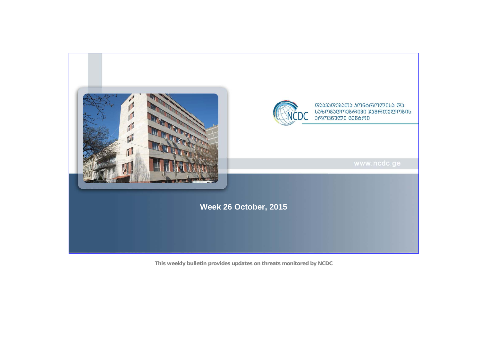

**This weekly bulletin provides updates on threats monitored by NCDC**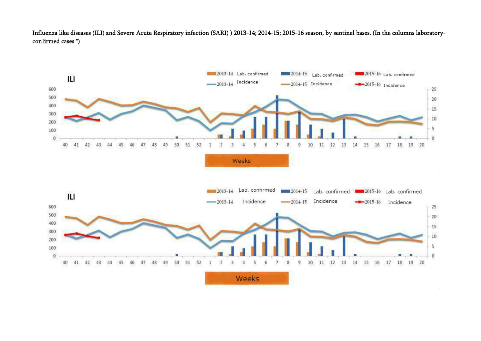Influenza like diseases (ILI) and Severe Acute Respiratory infection (SARI) ) 2013-14; 2014-15; 2015-16 season, by sentinel bases. (In the columns laboratoryconIirmed cases \*)

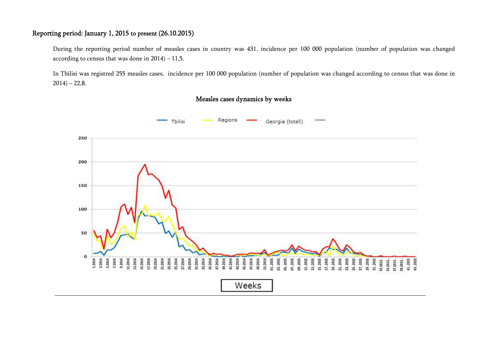## Reporting period: January 1, 2015 to present (26.10.2015)

During the reporting period number of measles cases in country was 431, incidence per 100 000 population (number of population was changed according to census that was done in 2014) – 11,5.

In Tbilisi was registred 255 measles cases, incidence per 100 000 population (number of population was changed according to census that was done in  $2014 - 22,8$ .



## Measles cases dynamics by weeks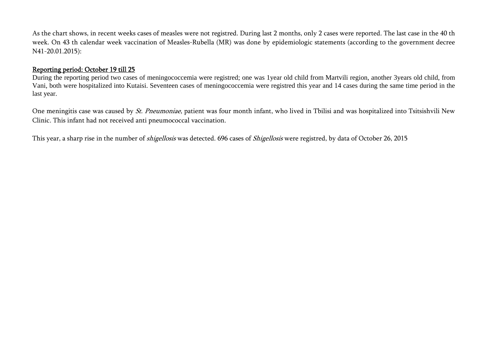As the chart shows, in recent weeks cases of measles were not registred. During last 2 months, only 2 cases were reported. The last case in the 40 th week. On 43 th calendar week vaccination of Measles-Rubella (MR) was done by epidemiologic statements (according to the government decree N41-20.01.2015):

## Reporting period: October 19 till 25

During the reporting period two cases of meningococcemia were registred; one was 1year old child from Martvili region, another 3years old child, from Vani, both were hospitalized into Kutaisi. Seventeen cases of meningococcemia were registred this year and 14 cases during the same time period in the last year.

One meningitis case was caused by *St. Pneumoniae*, patient was four month infant, who lived in Tbilisi and was hospitalized into Tsitsishvili New Clinic. This infant had not received anti pneumococcal vaccination.

This year, a sharp rise in the number of *shigellosis* was detected. 696 cases of *Shigellosis* were registred, by data of October 26, 2015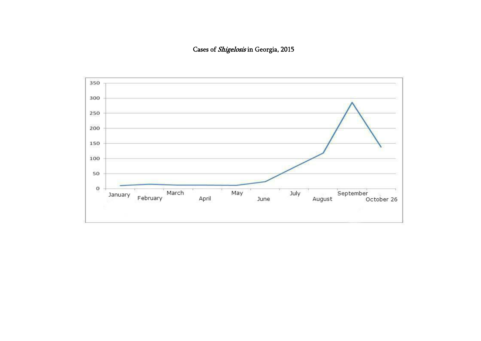Cases of Shigelosis in Georgia, 2015